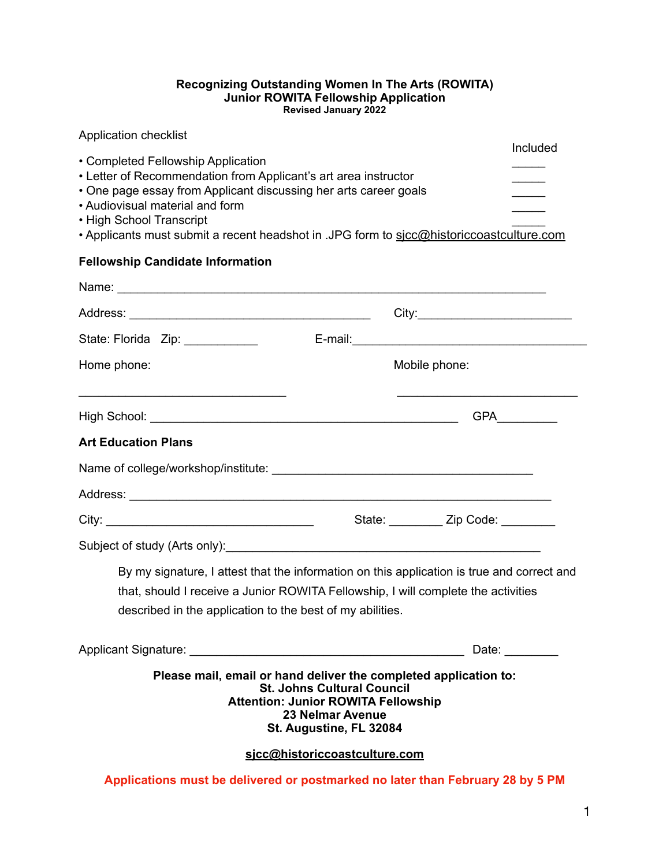#### **Recognizing Outstanding Women In The Arts (ROWITA) Junior ROWITA Fellowship Application Revised January 2022**

| <b>Application checklist</b><br>• Completed Fellowship Application<br>• Letter of Recommendation from Applicant's art area instructor<br>• One page essay from Applicant discussing her arts career goals<br>• Audiovisual material and form<br>• High School Transcript<br>• Applicants must submit a recent headshot in .JPG form to sicc@historiccoastculture.com<br><b>Fellowship Candidate Information</b> |               | Included                             |  |
|-----------------------------------------------------------------------------------------------------------------------------------------------------------------------------------------------------------------------------------------------------------------------------------------------------------------------------------------------------------------------------------------------------------------|---------------|--------------------------------------|--|
| State: Florida Zip: ______________    E-mail: __________________________________                                                                                                                                                                                                                                                                                                                                |               |                                      |  |
| Home phone:                                                                                                                                                                                                                                                                                                                                                                                                     | Mobile phone: |                                      |  |
| <u> 1989 - Johann Stein, marwolaethau a bhann an t-Amhain an t-Amhain an t-Amhain an t-Amhain an t-Amhain an t-A</u>                                                                                                                                                                                                                                                                                            |               |                                      |  |
| <b>Art Education Plans</b>                                                                                                                                                                                                                                                                                                                                                                                      |               |                                      |  |
|                                                                                                                                                                                                                                                                                                                                                                                                                 |               |                                      |  |
|                                                                                                                                                                                                                                                                                                                                                                                                                 |               |                                      |  |
|                                                                                                                                                                                                                                                                                                                                                                                                                 |               | State: __________ Zip Code: ________ |  |
|                                                                                                                                                                                                                                                                                                                                                                                                                 |               |                                      |  |
| By my signature, I attest that the information on this application is true and correct and<br>that, should I receive a Junior ROWITA Fellowship, I will complete the activities<br>described in the application to the best of my abilities.                                                                                                                                                                    |               |                                      |  |
| Applicant Signature: Management Control and Control of the Control of the Control of the Control of the Control of the Control of the Control of the Control of the Control of the Control of the Control of the Control of th                                                                                                                                                                                  |               | Date: Date:                          |  |
| Please mail, email or hand deliver the completed application to:<br><b>St. Johns Cultural Council</b><br><b>Attention: Junior ROWITA Fellowship</b><br><b>23 Nelmar Avenue</b><br>St. Augustine, FL 32084                                                                                                                                                                                                       |               |                                      |  |
| sicc@historiccoastculture.com                                                                                                                                                                                                                                                                                                                                                                                   |               |                                      |  |
| Applications must be delivered or postmarked no later than February 28 by 5 PM                                                                                                                                                                                                                                                                                                                                  |               |                                      |  |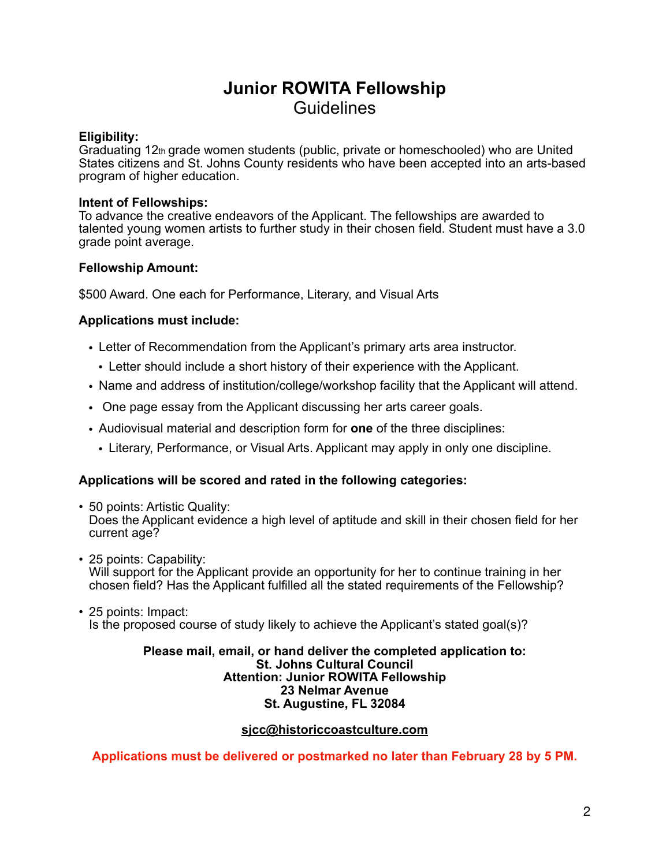## **Junior ROWITA Fellowship Guidelines**

#### **Eligibility:**

Graduating 12th grade women students (public, private or homeschooled) who are United States citizens and St. Johns County residents who have been accepted into an arts-based program of higher education.

#### **Intent of Fellowships:**

To advance the creative endeavors of the Applicant. The fellowships are awarded to talented young women artists to further study in their chosen field. Student must have a 3.0 grade point average.

#### **Fellowship Amount:**

\$500 Award. One each for Performance, Literary, and Visual Arts

#### **Applications must include:**

- Letter of Recommendation from the Applicant's primary arts area instructor.
	- Letter should include a short history of their experience with the Applicant.
- Name and address of institution/college/workshop facility that the Applicant will attend.
- One page essay from the Applicant discussing her arts career goals.
- Audiovisual material and description form for **one** of the three disciplines:
	- Literary, Performance, or Visual Arts. Applicant may apply in only one discipline.

#### **Applications will be scored and rated in the following categories:**

- 50 points: Artistic Quality: Does the Applicant evidence a high level of aptitude and skill in their chosen field for her current age?
- 25 points: Capability: Will support for the Applicant provide an opportunity for her to continue training in her chosen field? Has the Applicant fulfilled all the stated requirements of the Fellowship?
- 25 points: Impact: Is the proposed course of study likely to achieve the Applicant's stated goal(s)?

#### **Please mail, email, or hand deliver the completed application to: St. Johns Cultural Council Attention: Junior ROWITA Fellowship 23 Nelmar Avenue St. Augustine, FL 32084**

#### **[sjcc@historiccoastculture.com](mailto:sjcc@historiccoastculture.com)**

**Applications must be delivered or postmarked no later than February 28 by 5 PM.**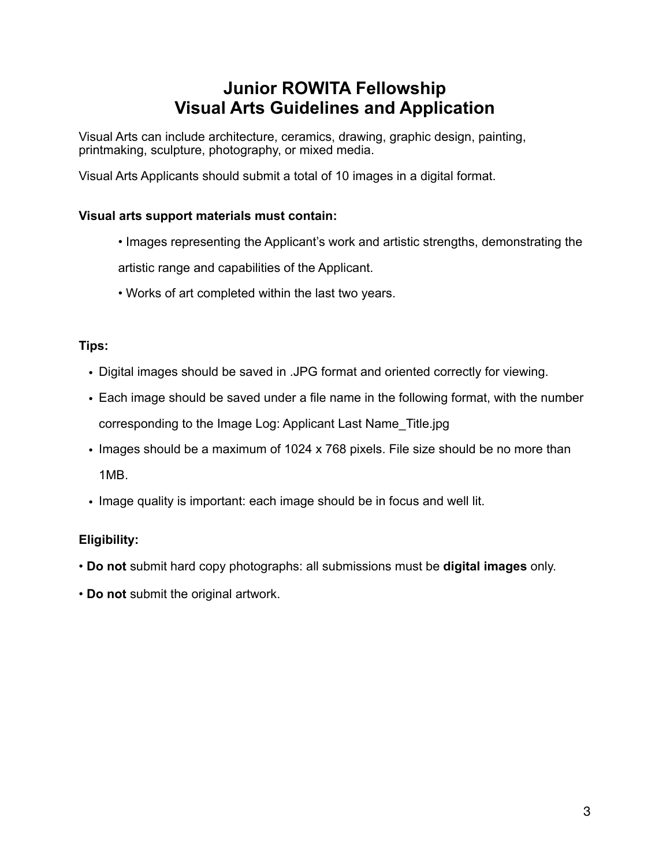# **Junior ROWITA Fellowship Visual Arts Guidelines and Application**

Visual Arts can include architecture, ceramics, drawing, graphic design, painting, printmaking, sculpture, photography, or mixed media.

Visual Arts Applicants should submit a total of 10 images in a digital format.

## **Visual arts support materials must contain:**

• Images representing the Applicant's work and artistic strengths, demonstrating the

artistic range and capabilities of the Applicant.

• Works of art completed within the last two years.

## **Tips:**

- Digital images should be saved in .JPG format and oriented correctly for viewing.
- Each image should be saved under a file name in the following format, with the number corresponding to the Image Log: Applicant Last Name\_Title.jpg
- Images should be a maximum of 1024 x 768 pixels. File size should be no more than 1MB.
- Image quality is important: each image should be in focus and well lit.

## **Eligibility:**

- **Do not** submit hard copy photographs: all submissions must be **digital images** only.
- **Do not** submit the original artwork.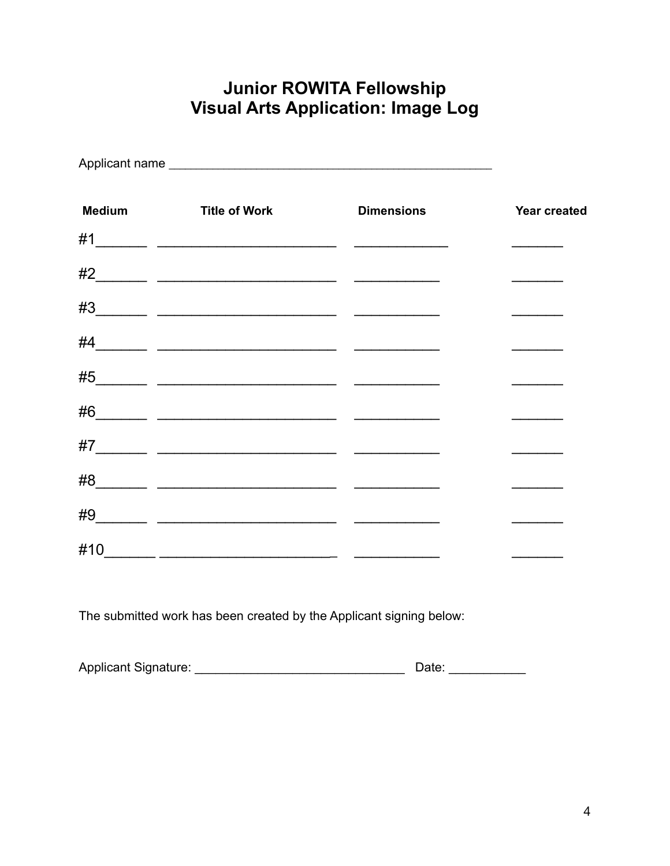# Junior ROWITA Fellowship<br>Visual Arts Application: Image Log

| <b>Medium</b> | <b>Title of Work</b> | <b>Dimensions</b> | <b>Year created</b> |
|---------------|----------------------|-------------------|---------------------|
|               |                      |                   |                     |
|               |                      |                   |                     |
|               |                      |                   |                     |
|               |                      |                   |                     |
|               |                      |                   |                     |
|               |                      |                   |                     |
|               |                      |                   |                     |
|               |                      |                   |                     |
|               |                      |                   |                     |
|               |                      |                   |                     |
|               |                      |                   |                     |

The submitted work has been created by the Applicant signing below:

| <b>Applicant Signature:</b> |  | )ate∶ |
|-----------------------------|--|-------|
|-----------------------------|--|-------|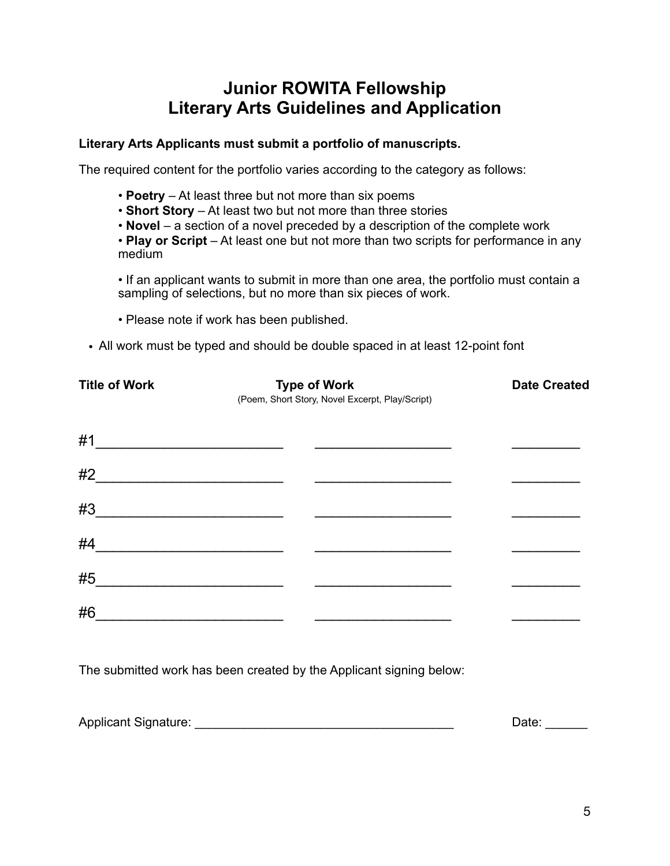# **Junior ROWITA Fellowship Literary Arts Guidelines and Application**

### **Literary Arts Applicants must submit a portfolio of manuscripts.**

The required content for the portfolio varies according to the category as follows:

- **Poetry**  At least three but not more than six poems
- **Short Story**  At least two but not more than three stories
- **Novel** a section of a novel preceded by a description of the complete work

• **Play or Script** – At least one but not more than two scripts for performance in any medium

• If an applicant wants to submit in more than one area, the portfolio must contain a sampling of selections, but no more than six pieces of work.

- Please note if work has been published.
- All work must be typed and should be double spaced in at least 12-point font

| <b>Title of Work</b> | <b>Type of Work</b><br>(Poem, Short Story, Novel Excerpt, Play/Script)                                                |  | <b>Date Created</b> |  |
|----------------------|-----------------------------------------------------------------------------------------------------------------------|--|---------------------|--|
| #1                   |                                                                                                                       |  |                     |  |
| #2                   |                                                                                                                       |  |                     |  |
| #3                   | <u> 1980 - Johann Barbara, martxa alemaniar a</u>                                                                     |  |                     |  |
| #4                   | <u> 1989 - Johann John Stone, mars eta industrial eta industrial eta industrial eta industrial eta industrial eta</u> |  |                     |  |
| #5                   |                                                                                                                       |  |                     |  |
| #6                   |                                                                                                                       |  |                     |  |

The submitted work has been created by the Applicant signing below:

| <b>Applicant Signature:</b> |  | Date |
|-----------------------------|--|------|
|-----------------------------|--|------|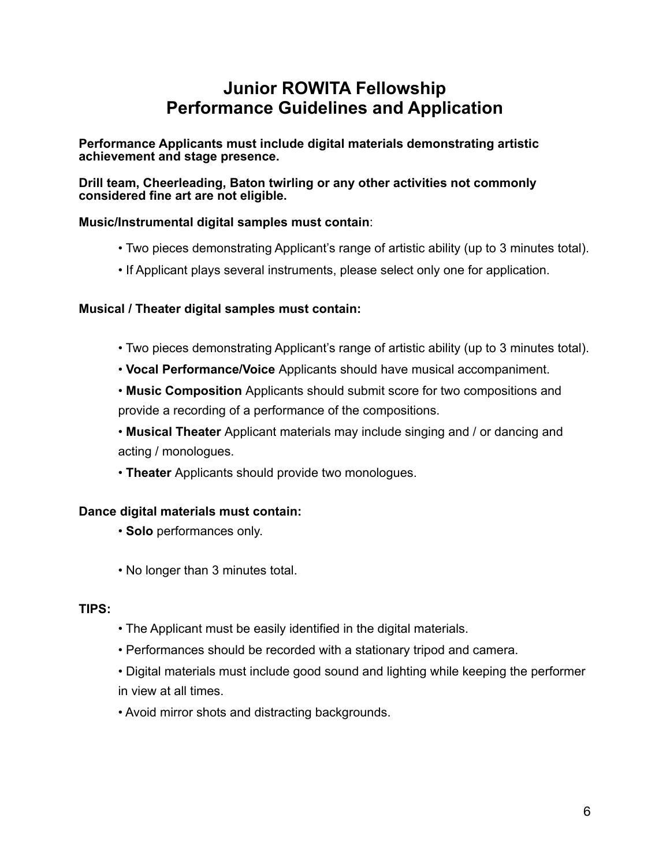# **Junior ROWITA Fellowship Performance Guidelines and Application**

**Performance Applicants must include digital materials demonstrating artistic achievement and stage presence.** 

**Drill team, Cheerleading, Baton twirling or any other activities not commonly considered fine art are not eligible.** 

### **Music/Instrumental digital samples must contain**:

- Two pieces demonstrating Applicant's range of artistic ability (up to 3 minutes total).
- If Applicant plays several instruments, please select only one for application.

### **Musical / Theater digital samples must contain:**

- Two pieces demonstrating Applicant's range of artistic ability (up to 3 minutes total).
- **Vocal Performance/Voice** Applicants should have musical accompaniment.

• **Music Composition** Applicants should submit score for two compositions and provide a recording of a performance of the compositions.

• **Musical Theater** Applicant materials may include singing and / or dancing and acting / monologues.

• **Theater** Applicants should provide two monologues.

## **Dance digital materials must contain:**

- **Solo** performances only.
- No longer than 3 minutes total.

#### **TIPS:**

- The Applicant must be easily identified in the digital materials.
- Performances should be recorded with a stationary tripod and camera.
- Digital materials must include good sound and lighting while keeping the performer in view at all times.
- Avoid mirror shots and distracting backgrounds.